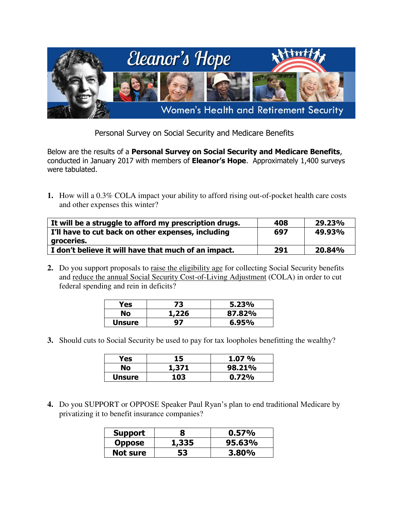

Personal Survey on Social Security and Medicare Benefits

Below are the results of a **Personal Survey on Social Security and Medicare Benefits**, conducted in January 2017 with members of **Eleanor's Hope**. Approximately 1,400 surveys were tabulated.

**1.** How will a 0.3% COLA impact your ability to afford rising out-of-pocket health care costs and other expenses this winter?

| It will be a struggle to afford my prescription drugs.    | 408 | 29.23% |
|-----------------------------------------------------------|-----|--------|
| I'll have to cut back on other expenses, including<br>697 |     | 49.93% |
| groceries.                                                |     |        |
| I don't believe it will have that much of an impact.      | 291 | 20.84% |

**2.** Do you support proposals to raise the eligibility age for collecting Social Security benefits and reduce the annual Social Security Cost-of-Living Adjustment (COLA) in order to cut federal spending and rein in deficits?

| Yes           | 73    | 5.23%  |
|---------------|-------|--------|
| No            | 1,226 | 87.82% |
| <b>Unsure</b> | 97    | 6.95%  |

**3.** Should cuts to Social Security be used to pay for tax loopholes benefitting the wealthy?

| Yes           | 15    | $1.07\%$ |
|---------------|-------|----------|
| No            | 1,371 | 98.21%   |
| <b>Unsure</b> | 103   | 0.72%    |

**4.** Do you SUPPORT or OPPOSE Speaker Paul Ryan's plan to end traditional Medicare by privatizing it to benefit insurance companies?

| <b>Support</b> |       | 0.57%  |
|----------------|-------|--------|
| <b>Oppose</b>  | 1,335 | 95.63% |
| Not sure       | 53    | 3.80%  |